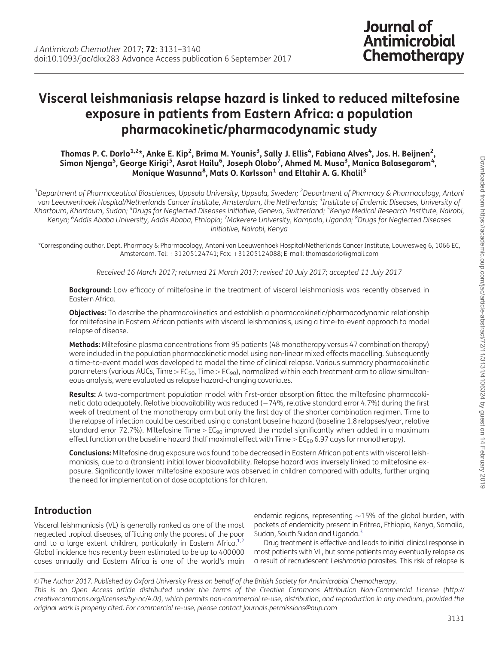# Visceral leishmaniasis relapse hazard is linked to reduced miltefosine exposure in patients from Eastern Africa: a population pharmacokinetic/pharmacodynamic study

#### Thomas P. C. Dorlo $^{1,2\star}$ , Anke E. Kip $^2$ , Brima M. Younis $^3$ , Sally J. Ellis $^4$ , Fabiana Alves $^4$ , Jos. H. Beijnen $^2$ , Simon Njenga<sup>5</sup>, George Kirigi<sup>5</sup>, Asrat Hailu<sup>6</sup>, Joseph Olobo<sup>7</sup>, Ahmed M. Musa<sup>3</sup>, Manica Balasegaram<sup>4</sup>, Monique Wasunna<sup>8</sup>, Mats O. Karlsson<sup>1</sup> and Eltahir A. G. Khalil<sup>3</sup>

 $^{\rm 1}$ Department of Pharmaceutical Biosciences, Uppsala University, Uppsala, Sweden;  $^{\rm 2}$ Department of Pharmacy & Pharmacology, Antoni van Leeuwenhoek Hospital/Netherlands Cancer Institute, Amsterdam, the Netherlands; <sup>3</sup>Institute of Endemic Diseases, University of Khartoum, Khartoum, Sudan; <sup>4</sup>Drugs for Neglected Diseases initiative, Geneva, Switzerland; <sup>5</sup>Kenya Medical Research Institute, Nairobi, Kenya; <sup>6</sup>Addis Ababa University, Addis Ababa, Ethiopia; <sup>7</sup>Makerere University, Kampala, Uganda; <sup>8</sup>Drugs for Neglected Diseases initiative, Nairobi, Kenya

\*Corresponding author. Dept. Pharmacy & Pharmacology, Antoni van Leeuwenhoek Hospital/Netherlands Cancer Institute, Louwesweg 6, 1066 EC, Amsterdam. Tel: +31205124741; Fax: +31205124088; E-mail: thomasdorlo@gmail.com

Received 16 March 2017; returned 21 March 2017; revised 10 July 2017; accepted 11 July 2017

Background: Low efficacy of miltefosine in the treatment of visceral leishmaniasis was recently observed in Eastern Africa.

**Objectives:** To describe the pharmacokinetics and establish a pharmacokinetic/pharmacodynamic relationship for miltefosine in Eastern African patients with visceral leishmaniasis, using a time-to-event approach to model relapse of disease.

Methods: Miltefosine plasma concentrations from 95 patients (48 monotherapy versus 47 combination therapy) were included in the population pharmacokinetic model using non-linear mixed effects modelling. Subsequently a time-to-event model was developed to model the time of clinical relapse. Various summary pharmacokinetic parameters (various AUCs, Time >  $EC_{50}$ , Time >  $EC_{90}$ ), normalized within each treatment arm to allow simultaneous analysis, were evaluated as relapse hazard-changing covariates.

Results: A two-compartment population model with first-order absorption fitted the miltefosine pharmacokinetic data adequately. Relative bioavailability was reduced  $(-74\%$ , relative standard error 4.7%) during the first week of treatment of the monotherapy arm but only the first day of the shorter combination regimen. Time to the relapse of infection could be described using a constant baseline hazard (baseline 1.8 relapses/year, relative standard error 72.7%). Miltefosine Time >  $EC_{90}$  improved the model significantly when added in a maximum effect function on the baseline hazard (half maximal effect with Time  $>E_{90}$  6.97 days for monotherapy).

Conclusions: Miltefosine drug exposure was found to be decreased in Eastern African patients with visceral leishmaniasis, due to a (transient) initial lower bioavailability. Relapse hazard was inversely linked to miltefosine exposure. Significantly lower miltefosine exposure was observed in children compared with adults, further urging the need for implementation of dose adaptations for children.

# Introduction

Visceral leishmaniasis (VL) is generally ranked as one of the most neglected tropical diseases, afflicting only the poorest of the poor and to a large extent children, particularly in Eastern Africa.<sup>1,2</sup> Global incidence has recently been estimated to be up to 400000 cases annually and Eastern Africa is one of the world's main endemic regions, representing  ${\sim}15\%$  of the global burden, with pockets of endemicity present in Eritrea, Ethiopia, Kenya, Somalia, Sudan, South Sudan and Uganda.<sup>[3](#page-8-0)</sup>

**Journal of** 

Antimicrobial

Chemotherapy

Drug treatment is effective and leads to initial clinical response in most patients with VL, but some patients may eventually relapse as a result of recrudescent Leishmania parasites. This risk of relapse is

V<sup>C</sup> The Author 2017. Published by Oxford University Press on behalf of the British Society for Antimicrobial Chemotherapy. This is an Open Access article distributed under the terms of the Creative Commons Attribution Non-Commercial License (http:// creativecommons.org/licenses/by-nc/4.0/), which permits non-commercial re-use, distribution, and reproduction in any medium, provided the original work is properly cited. For commercial re-use, please contact journals.permissions@oup.com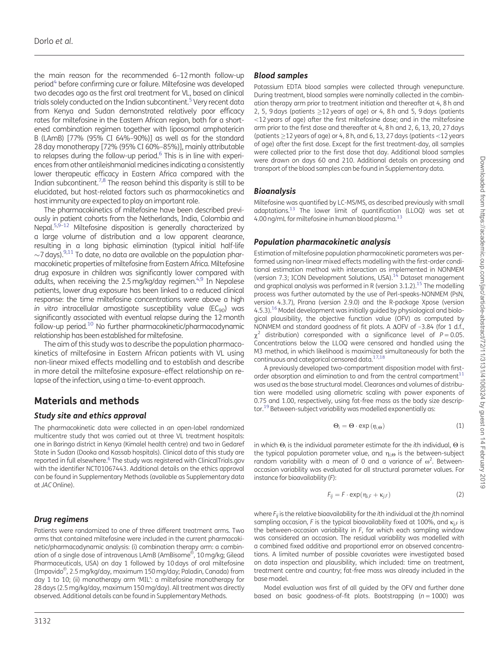the main reason for the recommended 6–12 month follow-up period<sup>4</sup> before confirming cure or failure. Miltefosine was developed two decades ago as the first oral treatment for VL, based on clinical trials solely conducted on the Indian subcontinent.<sup>5</sup> Very recent data from Kenya and Sudan demonstrated relatively poor efficacy rates for miltefosine in the Eastern African region, both for a shortened combination regimen together with liposomal amphotericin B (LAmB) [77% (95% CI 64%–90%)] as well as for the standard 28 day monotherapy [72% (95% CI 60%–85%)], mainly attributable to relapses during the follow-up period.<sup>6</sup> This is in line with experiences from other antileishmanial medicines indicating a consistently lower therapeutic efficacy in Eastern Africa compared with the Indian subcontinent.<sup>7,8</sup> The reason behind this disparity is still to be elucidated, but host-related factors such as pharmacokinetics and host immunity are expected to play an important role.

The pharmacokinetics of miltefosine have been described previously in patient cohorts from the Netherlands, India, Colombia and Nepal.<sup>5,9-[12](#page-9-0)</sup> Miltefosine disposition is generally characterized by a large volume of distribution and a low apparent clearance, resulting in a long biphasic elimination (typical initial half-life  $\sim$ 7 days). $^{9,11}$  To date, no data are available on the population pharmacokinetic properties of miltefosine from Eastern Africa. Miltefosine drug exposure in children was significantly lower compared with adults, when receiving the 2.5 mg/kg/day regimen. $4.9$  In Nepalese patients, lower drug exposure has been linked to a reduced clinical response: the time miltefosine concentrations were above a high in vitro intracellular amastigote susceptibility value ( $EC_{90}$ ) was significantly associated with eventual relapse during the 12 month follow-up period[.10](#page-8-0) No further pharmacokinetic/pharmacodynamic relationship has been established for miltefosine.

The aim of this study was to describe the population pharmacokinetics of miltefosine in Eastern African patients with VL using non-linear mixed effects modelling and to establish and describe in more detail the miltefosine exposure–effect relationship on relapse of the infection, using a time-to-event approach.

# Materials and methods

### Study site and ethics approval

The pharmacokinetic data were collected in an open-label randomized multicentre study that was carried out at three VL treatment hospitals: one in Baringo district in Kenya (Kimalel health centre) and two in Gedaref State in Sudan (Dooka and Kassab hospitals). Clinical data of this study are reported in full elsewhere.<sup>6</sup> The study was registered with ClinicalTrials.gov with the identifier NCT01067443. Additional details on the ethics approval can be found in Supplementary Methods (available as Supplementary data at JACOnline).

### Drug regimens

Patients were randomized to one of three different treatment arms. Two arms that contained miltefosine were included in the current pharmacokinetic/pharmacodynamic analysis: (i) combination therapy arm: a combination of a single dose of intravenous LAmB (AmBisome®, 10 mg/kg; Gilead Pharmaceuticals, USA) on day 1 followed by 10 days of oral miltefosine (Impavido®, 2.5 mg/kg/day, maximum 150 mg/day; Paladin, Canada) from day 1 to 10; (ii) monotherapy arm 'MIL': a miltefosine monotherapy for 28 days (2.5 mg/kg/day, maximum 150 mg/day). All treatment was directly observed. Additional details can be found in Supplementary Methods.

### Blood samples

Potassium EDTA blood samples were collected through venepuncture. During treatment, blood samples were nominally collected in the combination therapy arm prior to treatment initiation and thereafter at 4, 8 h and 2, 5, 9 days (patients  $\geq$ 12 years of age) or 4, 8 h and 5, 9 days (patients ,12 years of age) after the first miltefosine dose; and in the miltefosine arm prior to the first dose and thereafter at 4, 8 h and 2, 6, 13, 20, 27 days (patients  $>$  12 years of age) or 4, 8 h, and 6, 13, 27 days (patients  $<$  12 years of age) after the first dose. Except for the first treatment-day, all samples were collected prior to the first dose that day. Additional blood samples were drawn on days 60 and 210. Additional details on processing and transport of the blood samples can be found in Supplementary data.

#### **Bioanalysis**

Miltefosine was quantified by LC-MS/MS, as described previously with small  $ad$ adaptations.<sup>[13](#page-9-0)</sup> The lower limit of quantification (LLOQ) was set at 4.00 ng/mL for miltefosine in human blood plasma.<sup>13</sup>

### Population pharmacokinetic analysis

Estimation of miltefosine population pharmacokinetic parameters was performed using non-linear mixed effects modelling with the first-order conditional estimation method with interaction as implemented in NONMEM (version 7.3; ICON Development Solutions, USA). $14$  Dataset management and graphical analysis was performed in R (version 3.1.2).<sup>[15](#page-9-0)</sup> The modelling process was further automated by the use of Perl-speaks-NONMEM (PsN, version 4.3.7), Pirana (version 2.9.0) and the R-package Xpose (version 4.5.3).<sup>16</sup> Model development was initially guided by physiological and biological plausibility, the objective function value (OFV) as computed by NONMEM and standard goodness of fit plots. A  $\Delta$ OFV of -3.84 (for 1 d.f.,  $\chi^2$  distribution) corresponded with a significance level of P = 0.05. Concentrations below the LLOQ were censored and handled using the M3 method, in which likelihood is maximized simultaneously for both the continuous and categorical censored data[.17,18](#page-9-0)

A previously developed two-compartment disposition model with firstorder absorption and elimination to and from the central compartment $11$ was used as the base structural model. Clearances and volumes of distribution were modelled using allometric scaling with power exponents of 0.75 and 1.00, respectively, using fat-free mass as the body size descrip-tor.<sup>[19](#page-9-0)</sup> Between-subject variability was modelled exponentially as:

$$
\Theta_i = \Theta \cdot \exp\left(\eta_{i,\Theta}\right) \tag{1}
$$

in which  $\Theta_i$  is the individual parameter estimate for the *i*th individual,  $\Theta$  is the typical population parameter value, and  $\eta_{i,\Theta}$  is the between-subject random variability with a mean of 0 and a variance of  $\omega^2$ . Betweenoccasion variability was evaluated for all structural parameter values. For instance for bioavailability (F):

$$
F_{ij} = F \cdot \exp(\eta_{i,F} + \kappa_{j,F})
$$
 (2)

where  $F_{ii}$  is the relative bioavailability for the *i*th individual at the *j*th nominal sampling occasion, F is the typical bioavailability fixed at 100%, and  $\kappa_{\text{IF}}$  is the between-occasion variability in  $F$ , for which each sampling window was considered an occasion. The residual variability was modelled with a combined fixed additive and proportional error on observed concentrations. A limited number of possible covariates were investigated based on data inspection and plausibility, which included: time on treatment, treatment centre and country; fat-free mass was already included in the base model.

Model evaluation was first of all guided by the OFV and further done based on basic goodness-of-fit plots. Bootstrapping ( $n = 1000$ ) was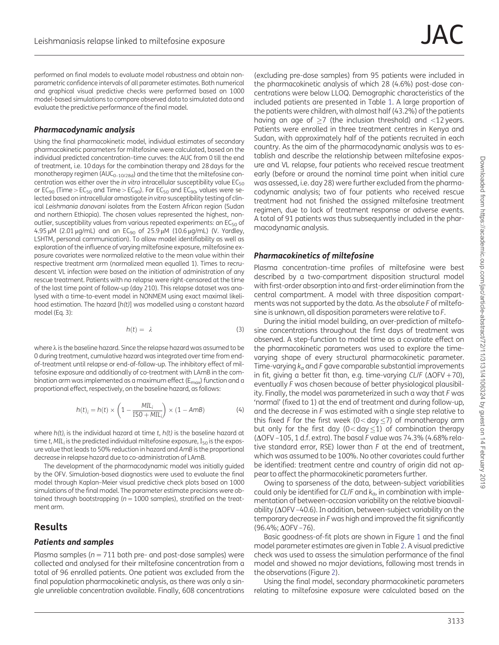performed on final models to evaluate model robustness and obtain nonparametric confidence intervals of all parameter estimates. Both numerical and graphical visual predictive checks were performed based on 1000 model-based simulations to compare observed data to simulated data and evaluate the predictive performance of the final model.

#### Pharmacodynamic analysis

Using the final pharmacokinetic model, individual estimates of secondary pharmacokinetic parameters for miltefosine were calculated, based on the individual predicted concentration–time curves: the AUC from 0 till the end of treatment, i.e. 10 days for the combination therapy and 28 days for the monotherapy regimen (AUC<sub>0-10/28d</sub>) and the time that the miltefosine concentration was either over the in vitro intracellular susceptibility value  $EC_{50}$ or  $EC_{90}$  (Time >  $EC_{50}$  and Time >  $EC_{90}$ ). For  $EC_{50}$  and  $EC_{90}$ , values were selected based on intracellular amastigote in vitro susceptibility testing of clinical Leishmania donovani isolates from the Eastern African region (Sudan and northern Ethiopia). The chosen values represented the highest, nonoutlier, susceptibility values from various repeated experiments: an  $EC_{50}$  of 4.95  $\mu$ M (2.01  $\mu$ g/mL) and an EC<sub>90</sub> of 25.9  $\mu$ M (10.6  $\mu$ g/mL) (V. Yardley, LSHTM, personal communication). To allow model identifiability as well as exploration of the influence of varying miltefosine exposure, miltefosine exposure covariates were normalized relative to the mean value within their respective treatment arm (normalized mean equalled 1). Times to recrudescent VL infection were based on the initiation of administration of any rescue treatment. Patients with no relapse were right-censored at the time of the last time point of follow-up (day 210). This relapse dataset was analysed with a time-to-event model in NONMEM using exact maximal likelihood estimation. The hazard [h(t)] was modelled using a constant hazard model (Eq. 3):

$$
h(t) = \lambda \tag{3}
$$

where  $\lambda$  is the baseline hazard. Since the relapse hazard was assumed to be 0 during treatment, cumulative hazard was integrated over time from endof-treatment until relapse or end-of-follow-up. The inhibitory effect of miltefosine exposure and additionally of co-treatment with LAmB in the combination arm was implemented as a maximum effect ( $E_{\text{max}}$ ) function and a proportional effect, respectively, on the baseline hazard, as follows:

$$
h(t)_i = h(t) \times \left(1 - \frac{MIL_i}{150 + MIL_i}\right) \times (1 - A mB) \tag{4}
$$

where  $h(t)$  is the individual hazard at time t,  $h(t)$  is the baseline hazard at time t, MIL; is the predicted individual miltefosine exposure,  $I_{50}$  is the exposure value that leads to 50% reduction in hazard and AmB is the proportional decrease in relapse hazard due to co-administration of LAmB.

The development of the pharmacodynamic model was initially guided by the OFV. Simulation-based diagnostics were used to evaluate the final model through Kaplan–Meier visual predictive check plots based on 1000 simulations of the final model. The parameter estimate precisions were obtained through bootstrapping ( $n = 1000$  samples), stratified on the treatment arm.

# Results

#### Patients and samples

Plasma samples ( $n = 711$  both pre- and post-dose samples) were collected and analysed for their miltefosine concentration from a total of 96 enrolled patients. One patient was excluded from the final population pharmacokinetic analysis, as there was only a single unreliable concentration available. Finally, 608 concentrations

(excluding pre-dose samples) from 95 patients were included in the pharmacokinetic analysis of which 28 (4.6%) post-dose concentrations were below LLOQ. Demographic characteristics of the included patients are presented in Table [1](#page-3-0). A large proportion of the patients were children, with almost half (43.2%) of the patients having an age of  $\geq$ 7 (the inclusion threshold) and <12 years. Patients were enrolled in three treatment centres in Kenya and Sudan, with approximately half of the patients recruited in each country. As the aim of the pharmacodynamic analysis was to establish and describe the relationship between miltefosine exposure and VL relapse, four patients who received rescue treatment early (before or around the nominal time point when initial cure was assessed, i.e. day 28) were further excluded from the pharmacodynamic analysis; two of four patients who received rescue treatment had not finished the assigned miltefosine treatment regimen, due to lack of treatment response or adverse events. A total of 91 patients was thus subsequently included in the pharmacodynamic analysis.

#### Pharmacokinetics of miltefosine

Plasma concentration–time profiles of miltefosine were best described by a two-compartment disposition structural model with first-order absorption into and first-order elimination from the central compartment. A model with three disposition compartments was not supported by the data. As the absolute F of miltefosine is unknown, all disposition parameters were relative to F.

During the initial model building, an over-prediction of miltefosine concentrations throughout the first days of treatment was observed. A step-function to model time as a covariate effect on the pharmacokinetic parameters was used to explore the timevarying shape of every structural pharmacokinetic parameter. Time-varying  $k_a$  and F gave comparable substantial improvements in fit, giving a better fit than, e.g. time-varying CL/F ( $\Delta$ OFV +70), eventually F was chosen because of better physiological plausibility. Finally, the model was parameterized in such a way that F was 'normal' (fixed to 1) at the end of treatment and during follow-up, and the decrease in F was estimated with a single step relative to this fixed F for the first week ( $0 < day \le 7$ ) of monotherapy arm but only for the first day ( $0 < day \le 1$ ) of combination therapy  $(\Delta$ OFV –105, 1 d.f. extra). The basal F value was 74.3% (4.68% relative standard error, RSE) lower than F at the end of treatment, which was assumed to be 100%. No other covariates could further be identified: treatment centre and country of origin did not appear to affect the pharmacokinetic parameters further.

Owing to sparseness of the data, between-subject variabilities could only be identified for CL/F and  $k_{\alpha}$ , in combination with implementation of between-occasion variability on the relative bioavailability ( $\Delta$ OFV -40.6). In addition, between-subject variability on the temporary decrease in F was high and improved the fit significantly  $(96.4\%;\Delta$ OFV –76).

Basic goodness-of-fit plots are shown in Figure [1](#page-4-0) and the final model parameter estimates are given in Table [2.](#page-5-0) A visual predictive check was used to assess the simulation performance of the final model and showed no major deviations, following most trends in the observations (Figure [2\)](#page-5-0).

Using the final model, secondary pharmacokinetic parameters relating to miltefosine exposure were calculated based on the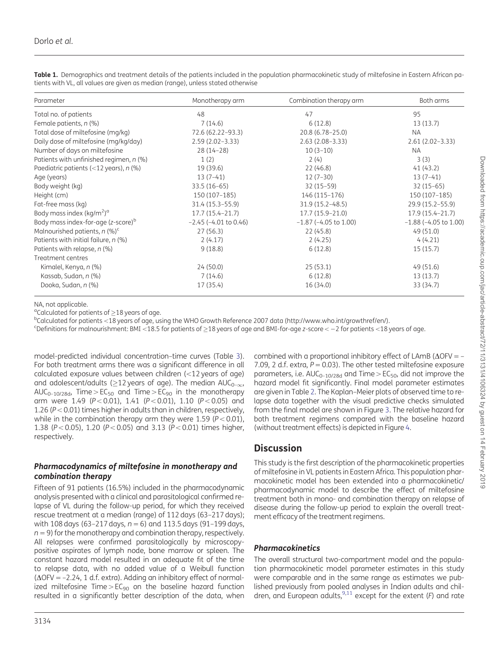| Parameter                                         | Monotherapy arm            | Combination therapy arm    | Both arms                  |
|---------------------------------------------------|----------------------------|----------------------------|----------------------------|
| Total no. of patients                             | 48                         | 47                         | 95                         |
| Female patients, n (%)                            | 7(14.6)                    | 6(12.8)                    | 13(13.7)                   |
| Total dose of miltefosine (mg/kg)                 | 72.6 (62.22-93.3)          | 20.8 (6.78-25.0)           | <b>NA</b>                  |
| Daily dose of miltefosine (mg/kg/day)             | $2.59(2.02 - 3.33)$        | $2.63(2.08-3.33)$          | $2.61(2.02-3.33)$          |
| Number of days on miltefosine                     | $28(14-28)$                | $10(3-10)$                 | <b>NA</b>                  |
| Patients with unfinished regimen, n (%)           | 1(2)                       | 2(4)                       | 3(3)                       |
| Paediatric patients (<12 years), n (%)            | 19 (39.6)                  | 22 (46.8)                  | 41 (43.2)                  |
| Age (years)                                       | $13(7-41)$                 | $12(7-30)$                 | $13(7-41)$                 |
| Body weight (kg)                                  | $33.5(16-65)$              | $32(15-59)$                | $32(15-65)$                |
| Height (cm)                                       | 150 (107-185)              | 146 (115-176)              | 150 (107-185)              |
| Fat-free mass (kg)                                | $31.4(15.3 - 55.9)$        | $31.9(15.2 - 48.5)$        | 29.9 (15.2-55.9)           |
| Body mass index (kg/m <sup>2</sup> ) <sup>a</sup> | $17.7(15.4 - 21.7)$        | $17.7(15.9 - 21.0)$        | $17.9(15.4 - 21.7)$        |
| Body mass index-for-age (z-score) <sup>b</sup>    | $-2.45$ ( $-4.01$ to 0.46) | $-1.87$ ( $-4.05$ to 1.00) | $-1.88$ ( $-4.05$ to 1.00) |
| Malnourished patients, n (%) <sup>c</sup>         | 27(56.3)                   | 22(45.8)                   | 49(51.0)                   |
| Patients with initial failure, n (%)              | 2(4.17)                    | 2(4.25)                    | 4(4.21)                    |
| Patients with relapse, n (%)                      | 9(18.8)                    | 6(12.8)                    | 15(15.7)                   |
| Treatment centres                                 |                            |                            |                            |
| Kimalel, Kenya, n (%)                             | 24 (50.0)                  | 25(53.1)                   | 49(51.6)                   |
| Kassab, Sudan, n (%)                              | 7(14.6)                    | 6(12.8)                    | 13(13.7)                   |
| Dooka, Sudan, n (%)                               | 17 (35.4)                  | 16 (34.0)                  | 33 (34.7)                  |

<span id="page-3-0"></span>Table 1. Demographics and treatment details of the patients included in the population pharmacokinetic study of miltefosine in Eastern African patients with VL, all values are given as median (range), unless stated otherwise

NA, not applicable.

<sup>a</sup>Calculated for patients of  $\geq$  18 years of age.

 $b$ Calculated for patients <18 years of age, using the WHO Growth Reference 2007 data [\(http://www.who.int/growthref/en/](http://www.who.int/growthref/en/)).

<sup>c</sup>Definitions for malnourishment: BMI <18.5 for patients of  $\geq$ 18 years of age and BMI-for-age z-score < -2 for patients <18 years of age.

model-predicted individual concentration–time curves (Table [3\)](#page-6-0). For both treatment arms there was a significant difference in all calculated exposure values between children  $\left($  < 12 years of age) and adolescent/adults ( $\geq$ 12 years of age). The median AUC<sub>0- $\infty$ </sub>, AUC<sub>0–10/28d</sub>, Time > EC<sub>50</sub> and Time > EC<sub>90</sub> in the monotherapy arm were 1.49 ( $P < 0.01$ ), 1.41 ( $P < 0.01$ ), 1.10 ( $P < 0.05$ ) and 1.26 ( $P < 0.01$ ) times higher in adults than in children, respectively, while in the combination therapy arm they were 1.59 ( $P < 0.01$ ), 1.38 (P < 0.05), 1.20 (P < 0.05) and 3.13 (P < 0.01) times higher, respectively.

#### Pharmacodynamics of miltefosine in monotherapy and combination therapy

Fifteen of 91 patients (16.5%) included in the pharmacodynamic analysis presented with a clinical and parasitological confirmed relapse of VL during the follow-up period, for which they received rescue treatment at a median (range) of 112 days (63–217 days); with 108 days (63-217 days,  $n = 6$ ) and 113.5 days (91-199 days,  $n = 9$ ) for the monotherapy and combination therapy, respectively. All relapses were confirmed parasitologically by microscopypositive aspirates of lymph node, bone marrow or spleen. The constant hazard model resulted in an adequate fit of the time to relapse data, with no added value of a Weibull function  $(\Delta$ OFV = -2.24, 1 d.f. extra). Adding an inhibitory effect of normalized miltefosine Time  $> EC_{90}$  on the baseline hazard function resulted in a significantly better description of the data, when

parameters, i.e.  $AUC_{0-10/28d}$  and Time >  $EC_{50}$ , did not improve the hazard model fit significantly. Final model parameter estimates are given in Table [2](#page-5-0). The Kaplan–Meier plots of observed time to relapse data together with the visual predictive checks simulated from the final model are shown in Figure [3.](#page-6-0) The relative hazard for both treatment regimens compared with the baseline hazard (without treatment effects) is depicted in Figure [4.](#page-7-0) **Discussion** 

This study is the first description of the pharmacokinetic properties of miltefosine in VL patients in Eastern Africa. This population pharmacokinetic model has been extended into a pharmacokinetic/ pharmacodynamic model to describe the effect of miltefosine treatment both in mono- and combination therapy on relapse of disease during the follow-up period to explain the overall treatment efficacy of the treatment regimens.

combined with a proportional inhibitory effect of LAmB ( $\Delta$ OFV = -7.09, 2 d.f. extra,  $P = 0.03$ ). The other tested miltefosine exposure

### Pharmacokinetics

The overall structural two-compartment model and the population pharmacokinetic model parameter estimates in this study were comparable and in the same range as estimates we published previously from pooled analyses in Indian adults and children, and European adults,  $9,11$  except for the extent (F) and rate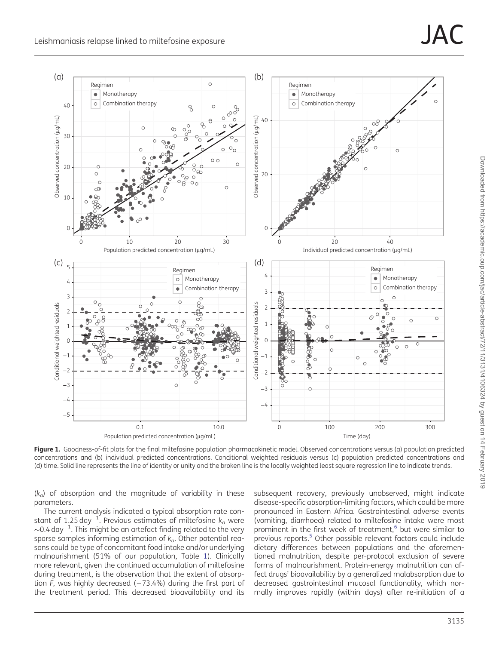<span id="page-4-0"></span>

Figure 1. Goodness-of-fit plots for the final miltefosine population pharmacokinetic model. Observed concentrations versus (a) population predicted concentrations and (b) individual predicted concentrations. Conditional weighted residuals versus (c) population predicted concentrations and (d) time. Solid line represents the line of identity or unity and the broken line is the locally weighted least square regression line to indicate trends.

 $(k<sub>a</sub>)$  of absorption and the magnitude of variability in these parameters.

The current analysis indicated a typical absorption rate constant of 1.25 day<sup>-1</sup>. Previous estimates of miltefosine  $k_a$  were  $\sim$ 0.4 day $^{-1}$ . This might be an artefact finding related to the very sparse samples informing estimation of  $k_a$ . Other potential reasons could be type of concomitant food intake and/or underlying malnourishment (51% of our population, Table [1\)](#page-3-0). Clinically more relevant, given the continued accumulation of miltefosine during treatment, is the observation that the extent of absorption  $\bar{F}$ , was highly decreased ( $-73.4%$ ) during the first part of the treatment period. This decreased bioavailability and its

subsequent recovery, previously unobserved, might indicate disease-specific absorption-limiting factors, which could be more pronounced in Eastern Africa. Gastrointestinal adverse events (vomiting, diarrhoea) related to miltefosine intake were most prominent in the first week of treatment, $6$  but were similar to previous reports.<sup>[5](#page-8-0)</sup> Other possible relevant factors could include dietary differences between populations and the aforementioned malnutrition, despite per-protocol exclusion of severe forms of malnourishment. Protein-energy malnutrition can affect drugs' bioavailability by a generalized malabsorption due to decreased gastrointestinal mucosal functionality, which normally improves rapidly (within days) after re-initiation of a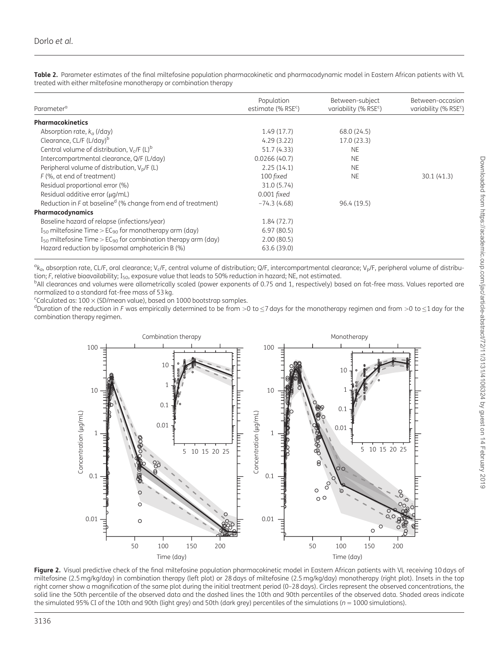<span id="page-5-0"></span>Table 2. Parameter estimates of the final miltefosine population pharmacokinetic and pharmacodynamic model in Eastern African patients with VL treated with either miltefosine monotherapy or combination therapy

| Parameter <sup>a</sup>                                                         | Population<br>estimate (% RSE <sup>c</sup> ) | Between-subject<br>variability (% RSE <sup>c</sup> ) | Between-occasion<br>variability (% $RSEc$ ) |
|--------------------------------------------------------------------------------|----------------------------------------------|------------------------------------------------------|---------------------------------------------|
| <b>Pharmacokinetics</b>                                                        |                                              |                                                      |                                             |
| Absorption rate, $k_a$ (/day)                                                  | 1.49(17.7)                                   | 68.0 (24.5)                                          |                                             |
| Clearance, CL/F (L/day) <sup>b</sup>                                           | 4.29(3.22)                                   | 17.0(23.3)                                           |                                             |
| Central volume of distribution, $V_c$ /F (L) <sup>b</sup>                      | 51.7 (4.33)                                  | <b>NE</b>                                            |                                             |
| Intercompartmental clearance, Q/F (L/day)                                      | 0.0266(40.7)                                 | <b>NE</b>                                            |                                             |
| Peripheral volume of distribution, $V_p/F (L)$                                 | 2.25(14.1)                                   | <b>NE</b>                                            |                                             |
| F (%, at end of treatment)                                                     | 100 fixed                                    | <b>NE</b>                                            | 30.1(41.3)                                  |
| Residual proportional error (%)                                                | 31.0 (5.74)                                  |                                                      |                                             |
| Residual additive error (µq/mL)                                                | $0.001$ fixed                                |                                                      |                                             |
| Reduction in $F$ at baseline <sup>d</sup> (% change from end of treatment)     | $-74.3(4.68)$                                | 96.4 (19.5)                                          |                                             |
| Pharmacodynamics                                                               |                                              |                                                      |                                             |
| Baseline hazard of relapse (infections/year)                                   | 1.84(72.7)                                   |                                                      |                                             |
| $I_{50}$ miltefosine Time > EC <sub>90</sub> for monotherapy arm (day)         | 6.97(80.5)                                   |                                                      |                                             |
| $I_{50}$ miltefosine Time > EC <sub>90</sub> for combination therapy arm (day) | 2.00(80.5)                                   |                                                      |                                             |
| Hazard reduction by liposomal amphotericin B (%)                               | 63.6 (39.0)                                  |                                                      |                                             |

 ${}^{\alpha}$ k<sub>a</sub>, absorption rate, CL/F, oral clearance; V<sub>c</sub>/F, central volume of distribution; Q/F, intercompartmental clearance; V<sub>p</sub>/F, peripheral volume of distribution; F, relative bioavailability;  $I_{50}$ , exposure value that leads to 50% reduction in hazard; NE, not estimated.

<sup>b</sup>All clearances and volumes were allometrically scaled (power exponents of 0.75 and 1, respectively) based on fat-free mass. Values reported are normalized to a standard fat-free mass of 53 kg.

<sup>c</sup>Calculated as:  $100 \times$  (SD/mean value), based on 1000 bootstrap samples.

<sup>d</sup>Duration of the reduction in F was empirically determined to be from >0 to  $\leq$ 7 days for the monotherapy regimen and from >0 to  $\leq$ 1 day for the combination therapy regimen.



Figure 2. Visual predictive check of the final miltefosine population pharmacokinetic model in Eastern African patients with VL receiving 10 days of miltefosine (2.5 mg/kg/day) in combination therapy (left plot) or 28 days of miltefosine (2.5 mg/kg/day) monotherapy (right plot). Insets in the top right corner show a magnification of the same plot during the initial treatment period (0–28 days). Circles represent the observed concentrations, the solid line the 50th percentile of the observed data and the dashed lines the 10th and 90th percentiles of the observed data. Shaded areas indicate the simulated 95% CI of the 10th and 90th (light grey) and 50th (dark grey) percentiles of the simulations ( $n = 1000$  simulations).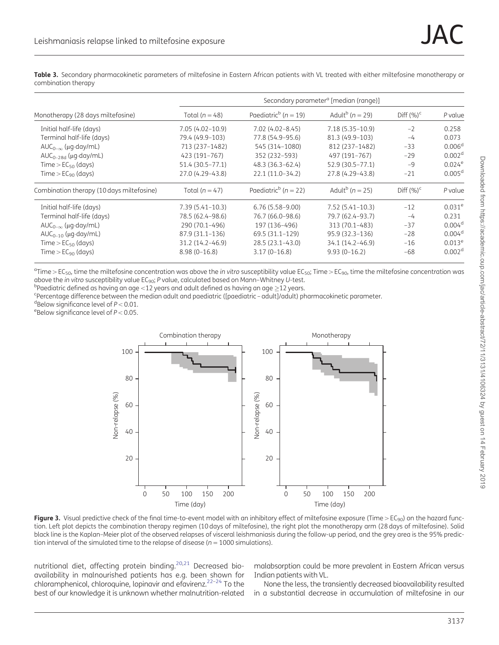<span id="page-6-0"></span>Table 3. Secondary pharmacokinetic parameters of miltefosine in Eastern African patients with VL treated with either miltefosine monotherapy or combination therapy

| Monotherapy (28 days miltefosine)         | Secondary parameter <sup>a</sup> [median (range)] |                                      |                                 |               |                    |
|-------------------------------------------|---------------------------------------------------|--------------------------------------|---------------------------------|---------------|--------------------|
|                                           | Total ( $n = 48$ )                                | Paediatric <sup>b</sup> ( $n = 19$ ) | Adult <sup>b</sup> ( $n = 29$ ) | Diff $(\%)^c$ | P value            |
| Initial half-life (days)                  | $7.05(4.02 - 10.9)$                               | $7.02(4.02 - 8.45)$                  | $7.18(5.35 - 10.9)$             | $-2$          | 0.258              |
| Terminal half-life (days)                 | 79.4 (49.9-103)                                   | 77.8 (54.9–95.6)                     | 81.3 (49.9-103)                 | $-4$          | 0.073              |
| $AUC_{0-\infty}$ ( $\mu$ g·day/mL)        | 713 (237-1482)                                    | 545 (314-1080)                       | 812 (237-1482)                  | $-33$         | 0.006 <sup>d</sup> |
| $AUC_{0-28d}$ ( $\mu$ g·day/mL)           | 423 (191-767)                                     | 352 (232-593)                        | 497 (191-767)                   | $-29$         | 0.002 <sup>d</sup> |
| Time $>$ EC <sub>50</sub> (days)          | $51.4(30.5 - 77.1)$                               | 48.3 (36.3-62.4)                     | 52.9 (30.5-77.1)                | $-9$          | 0.024e             |
| Time $>$ EC <sub>90</sub> (days)          | 27.0 (4.29-43.8)                                  | 22.1 (11.0-34.2)                     | 27.8 (4.29-43.8)                | $-21$         | 0.005 <sup>d</sup> |
| Combination therapy (10 days miltefosine) | Total ( $n = 47$ )                                | Paediatric <sup>b</sup> ( $n = 22$ ) | Adult <sup>b</sup> ( $n = 25$ ) | Diff $(\%)^c$ | P value            |
| Initial half-life (days)                  | $7.39(5.41 - 10.3)$                               | $6.76(5.58 - 9.00)$                  | $7.52(5.41-10.3)$               | $-12$         | $0.031^e$          |
| Terminal half-life (days)                 | 78.5 (62.4-98.6)                                  | 76.7 (66.0-98.6)                     | 79.7 (62.4-93.7)                | $-4$          | 0.231              |
| $AUC_{0-\infty}$ (µg·day/mL)              | 290 (70.1-496)                                    | 197 (136-496)                        | 313 (70.1-483)                  | $-37$         | 0.004 <sup>d</sup> |
| $AUC_{0-10}$ ( $\mu$ g·day/mL)            | 87.9 (31.1-136)                                   | 69.5 (31.1–129)                      | 95.9 (32.3-136)                 | $-28$         | 0.004 <sup>d</sup> |
| Time $>$ EC <sub>50</sub> (days)          | 31.2 (14.2-46.9)                                  | 28.5 (23.1-43.0)                     | 34.1 (14.2-46.9)                | $-16$         | $0.013^e$          |
| Time $>$ EC <sub>90</sub> (days)          | $8.98(0-16.8)$                                    | $3.17(0-16.8)$                       | $9.93(0-16.2)$                  | $-68$         | 0.002 <sup>d</sup> |

 $^a$ Time > EC<sub>50</sub>, time the miltefosine concentration was above the *in vitro* susceptibility value EC<sub>50</sub>; Time > EC<sub>90</sub>, time the miltefosine concentration was above the in vitro susceptibility value  $EC_{90}$ ; P value, calculated based on Mann-Whitney U-test.

<sup>b</sup>Paediatric defined as having an age  $<$ 12 years and adult defined as having an age  $>$ 12 years.

Percentage difference between the median adult and paediatric ([paediatric – adult]/adult) pharmacokinetic parameter.

<sup>d</sup>Below significance level of  $P < 0.01$ .

<sup>e</sup>Below significance level of  $P < 0.05$ .



Figure 3. Visual predictive check of the final time-to-event model with an inhibitory effect of miltefosine exposure (Time >  $EC_{90}$ ) on the hazard function. Left plot depicts the combination therapy regimen (10 days of miltefosine), the right plot the monotherapy arm (28 days of miltefosine). Solid black line is the Kaplan–Meier plot of the observed relapses of visceral leishmaniasis during the follow-up period, and the grey area is the 95% prediction interval of the simulated time to the relapse of disease ( $n = 1000$  simulations).

nutritional diet, affecting protein binding.<sup>[20,21](#page-9-0)</sup> Decreased bioavailability in malnourished patients has e.g. been shown for chloramphenicol, chloroquine, lopinavir and efavirenz[.22](#page-9-0)–[24](#page-9-0) To the best of our knowledge it is unknown whether malnutrition-related

malabsorption could be more prevalent in Eastern African versus Indian patients with VL.

None the less, the transiently decreased bioavailability resulted in a substantial decrease in accumulation of miltefosine in our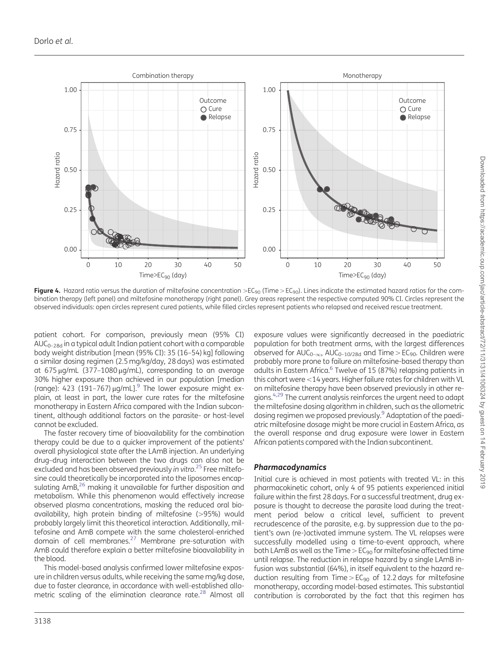<span id="page-7-0"></span>

Figure 4. Hazard ratio versus the duration of miltefosine concentration >EC<sub>90</sub> (Time > EC<sub>90</sub>). Lines indicate the estimated hazard ratios for the combination therapy (left panel) and miltefosine monotherapy (right panel). Grey areas represent the respective computed 90% CI. Circles represent the observed individuals: open circles represent cured patients, while filled circles represent patients who relapsed and received rescue treatment.

patient cohort. For comparison, previously mean (95% CI) AUC<sub>0–28d</sub> in a typical adult Indian patient cohort with a comparable body weight distribution [mean (95% CI): 35 (16–54) kg] following a similar dosing regimen (2.5 mg/kg/day, 28 days) was estimated at  $675 \mu$ g/mL (377-1080 $\mu$ g/mL), corresponding to an average 30% higher exposure than achieved in our population [median (range): 423 (191-767)  $\mu q/mL$ ].<sup>9</sup> The lower exposure might explain, at least in part, the lower cure rates for the miltefosine monotherapy in Eastern Africa compared with the Indian subcontinent, although additional factors on the parasite- or host-level cannot be excluded.

The faster recovery time of bioavailability for the combination therapy could be due to a quicker improvement of the patients' overall physiological state after the LAmB injection. An underlying drug–drug interaction between the two drugs can also not be excluded and has been observed previously in vitro.<sup>[25](#page-9-0)</sup> Free miltefosine could theoretically be incorporated into the liposomes encapsulating AmB,<sup>26</sup> making it unavailable for further disposition and metabolism. While this phenomenon would effectively increase observed plasma concentrations, masking the reduced oral bioavailability, high protein binding of miltefosine  $(>95%)$  would probably largely limit this theoretical interaction. Additionally, miltefosine and AmB compete with the same cholesterol-enriched domain of cell membranes.<sup>[27](#page-9-0)</sup> Membrane pre-saturation with AmB could therefore explain a better miltefosine bioavailability in the blood.

This model-based analysis confirmed lower miltefosine exposure in children versus adults, while receiving the same mg/kg dose, due to faster clearance, in accordance with well-established allometric scaling of the elimination clearance rate.<sup>28</sup> Almost all exposure values were significantly decreased in the paediatric population for both treatment arms, with the largest differences observed for  $AUC_{0-\infty}$ ,  $AUC_{0-10/28d}$  and Time >  $EC_{90}$ . Children were probably more prone to failure on miltefosine-based therapy than adults in Eastern Africa.<sup>6</sup> Twelve of 15 (87%) relapsing patients in this cohort were <14 years. Higher failure rates for children with VL on miltefosine therapy have been observed previously in other re-gions.<sup>[4,](#page-8-0)[29](#page-9-0)</sup> The current analysis reinforces the urgent need to adapt the miltefosine dosing algorithm in children, such as the allometric dosing regimen we proposed previously[.9](#page-8-0) Adaptation of the paediatric miltefosine dosage might be more crucial in Eastern Africa, as the overall response and drug exposure were lower in Eastern African patients compared with the Indian subcontinent.

#### Pharmacodynamics

Initial cure is achieved in most patients with treated VL: in this pharmacokinetic cohort, only 4 of 95 patients experienced initial failure within the first 28 days. For a successful treatment, drug exposure is thought to decrease the parasite load during the treatment period below a critical level, sufficient to prevent recrudescence of the parasite, e.g. by suppression due to the patient's own (re-)activated immune system. The VL relapses were successfully modelled using a time-to-event approach, where both LAmB as well as the Time  $>$  EC<sub>90</sub> for miltefosine affected time until relapse. The reduction in relapse hazard by a single LAmB infusion was substantial (64%), in itself equivalent to the hazard reduction resulting from Time  $> E C_{90}$  of 12.2 days for miltefosine monotherapy, according model-based estimates. This substantial contribution is corroborated by the fact that this regimen has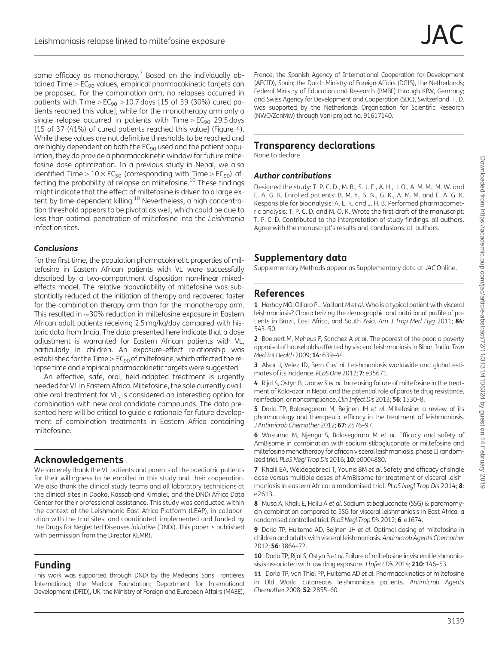<span id="page-8-0"></span>some efficacy as monotherapy.<sup>7</sup> Based on the individually obtained Time  $>$  EC<sub>90</sub> values, empirical pharmacokinetic targets can be proposed. For the combination arm, no relapses occurred in patients with Time >  $EC_{90}$  > 10.7 days [15 of 39 (30%) cured patients reached this value], while for the monotherapy arm only a single relapse occurred in patients with  $Time > EC_{90}$  29.5 days [15 of 37 (41%) of cured patients reached this value] (Figure [4\)](#page-7-0). While these values are not definitive thresholds to be reached and are highly dependent on both the EC<sub>90</sub> used and the patient population, they do provide a pharmacokinetic window for future miltefosine dose optimization. In a previous study in Nepal, we also identified Time >  $10 \times EC_{50}$  (corresponding with Time >  $EC_{90}$ ) affecting the probability of relapse on miltefosine.<sup>10</sup> These findings might indicate that the effect of miltefosine is driven to a large extent by time-dependent killing.10 Nevertheless, a high concentration threshold appears to be pivotal as well, which could be due to less than optimal penetration of miltefosine into the Leishmania infection sites.

#### **Conclusions**

For the first time, the population pharmacokinetic properties of miltefosine in Eastern African patients with VL were successfully described by a two-compartment disposition non-linear mixedeffects model. The relative bioavailability of miltefosine was substantially reduced at the initiation of therapy and recovered faster for the combination therapy arm than for the monotherapy arm. This resulted in  ${\sim}$ 30% reduction in miltefosine exposure in Eastern African adult patients receiving 2.5 mg/kg/day compared with historic data from India. The data presented here indicate that a dose adjustment is warranted for Eastern African patients with VL, particularly in children. An exposure–effect relationship was established for the Time  $>$  EC<sub>90</sub> of miltefosine, which affected the relapse time and empirical pharmacokinetic targets were suggested.

An effective, safe, oral, field-adapted treatment is urgently needed for VL in Eastern Africa. Miltefosine, the sole currently available oral treatment for VL, is considered an interesting option for combination with new oral candidate compounds. The data presented here will be critical to guide a rationale for future development of combination treatments in Eastern Africa containing miltefosine.

# Acknowledgements

We sincerely thank the VL patients and parents of the paediatric patients for their willingness to be enrolled in this study and their cooperation. We also thank the clinical study teams and all laboratory technicians at the clinical sites in Dooka, Kassab and Kimalel, and the DNDi Africa Data Center for their professional assistance. This study was conducted within the context of the Leishmania East Africa Platform (LEAP), in collaboration with the trial sites, and coordinated, implemented and funded by the Drugs for Neglected Diseases initiative (DNDi). This paper is published with permission from the Director KEMRI.

# Funding

This work was supported through DNDi by the Médecins Sans Frontières International; the Medicor Foundation; Department for International Development (DFID), UK; the Ministry of Foreign and European Affairs (MAEE), France; the Spanish Agency of International Cooperation for Development (AECID), Spain; the Dutch Ministry of Foreign Affairs (DGIS), the Netherlands; Federal Ministry of Education and Research (BMBF) through KfW, Germany; and Swiss Agency for Development and Cooperation (SDC), Switzerland. T. D. was supported by the Netherlands Organisation for Scientific Research (NWO/ZonMw) through Veni project no. 91617140.

# Transparency declarations

None to declare.

#### Author contributions

Designed the study: T. P. C. D., M. B., S. J. E., A. H., J. O., A. M. M., M. W. and E. A. G. K. Enrolled patients: B. M. Y., S. N., G. K., A. M. M. and E. A. G. K. Responsible for bioanalysis: A. E. K. and J. H. B. Performed pharmacometric analysis: T. P. C. D. and M. O. K. Wrote the first draft of the manuscript: T. P. C. D. Contributed to the interpretation of study findings: all authors. Agree with the manuscript's results and conclusions: all authors.

# Supplementary data

Supplementary Methods appear as Supplementary data at JAC Online.

# References

1 Harhay MO, Olliaro PL, Vaillant M et al. Who is a typical patient with visceral leishmaniasis? Characterizing the demographic and nutritional profile of patients in Brazil, East Africa, and South Asia. Am J Trop Med Hyg 2011; 84: 543–50.

2 Boelaert M, Meheus F, Sanchez A et al. The poorest of the poor: a poverty appraisal of households affected by visceral leishmaniasis in Bihar, India. Trop Med Int Health 2009; 14: 639–44.

3 Alvar J, Vélez ID, Bern C et al. Leishmaniasis worldwide and global estimates of its incidence. PLoS One 2012; 7: e35671.

4 Rijal S, Ostyn B, Uranw S et al. Increasing failure of miltefosine in the treatment of Kala-azar in Nepal and the potential role of parasite drug resistance, reinfection, or noncompliance. Clin Infect Dis 2013; 56: 1530–8.

5 Dorlo TP, Balasegaram M, Beijnen JH et al. Miltefosine: a review of its pharmacology and therapeutic efficacy in the treatment of leishmaniasis. J Antimicrob Chemother 2012; 67: 2576–97.

6 Wasunna M, Njenga S, Balasegaram M et al. Efficacy and safety of AmBisome in combination with sodium stibogluconate or miltefosine and miltefosine monotherapy for african visceral leishmaniasis: phase II randomized trial. PLoS Negl Trop Dis 2016; 10: e0004880.

7 Khalil EA, Weldegebreal T, Younis BM et al. Safety and efficacy of single dose versus multiple doses of AmBisome for treatment of visceral leishmaniasis in eastern Africa: a randomised trial. PLoS Negl Trop Dis 2014; 8: e2613.

8 Musa A, Khalil E, Hailu A et al. Sodium stibogluconate (SSG) & paromomycin combination compared to SSG for visceral leishmaniasis in East Africa: a randomised controlled trial. PLoS Negl Trop Dis 2012; 6: e1674.

9 Dorlo TP, Huitema AD, Beijnen JH et al. Optimal dosing of miltefosine in children and adults with visceral leishmaniasis. Antimicrob Agents Chemother 2012; 56: 3864–72.

10 Dorlo TP, Rijal S, Ostyn B et al. Failure of miltefosine in visceral leishmaniasis is associated with low drug exposure. J Infect Dis 2014; 210: 146–53.

11 Dorlo TP, van Thiel PP, Huitema AD et al. Pharmacokinetics of miltefosine in Old World cutaneous leishmaniasis patients. Antimicrob Agents Chemother 2008; 52: 2855–60.